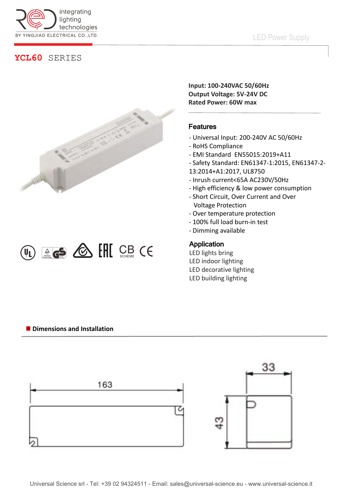

# **YCL60** SERIES





**Input: 100-240VAC 50/60Hz Output Voltage: 5V-24V DC Rated Power: 60W max**

## Features

- Universal Input: 200-240V AC 50/60Hz
- RoHS Compliance
- EMI Standard EN55015:2019+A11
- Safety Standard: EN61347-1:2015, EN61347-2-
- 13:2014+A1:2017, UL8750
- Inrush current<65A AC230V/50Hz
- High efficiency & low power consumption
- Short Circuit, Over Current and Over Voltage Protection
- Over temperature protection
- 100% full load burn-in test
- Dimming available

### Application

- LED lights bring LED indoor lighting LED decorative lighting
- LED building lighting

#### **Dimensions and Installation**

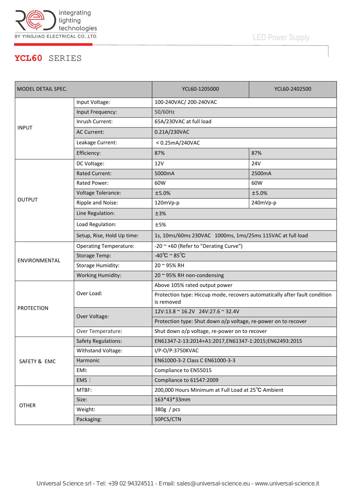

# LED Power Supply

## **YCL60** SERIES

| MODEL DETAIL SPEC. |                               | YCL60-1205000                                                                            | YCL60-2402500 |
|--------------------|-------------------------------|------------------------------------------------------------------------------------------|---------------|
| <b>INPUT</b>       | Input Voltage:                | 100-240VAC/200-240VAC                                                                    |               |
|                    | Input Frequency:              | 50/60Hz                                                                                  |               |
|                    | Inrush Current:               | 65A/230VAC at full load                                                                  |               |
|                    | <b>AC Current:</b>            | 0.21A/230VAC                                                                             |               |
|                    | Leakage Current:              | <0.25mA/240VAC                                                                           |               |
|                    | Efficiency:                   | 87%                                                                                      | 87%           |
| <b>OUTPUT</b>      | DC Voltage:                   | <b>12V</b>                                                                               | <b>24V</b>    |
|                    | <b>Rated Current:</b>         | 5000mA                                                                                   | 2500mA        |
|                    | Rated Power:                  | 60W                                                                                      | 60W           |
|                    | <b>Voltage Tolerance:</b>     | ±5.0%                                                                                    | ±5.0%         |
|                    | Ripple and Noise:             | 120mVp-p                                                                                 | 240mVp-p      |
|                    | Line Regulation:              | ±3%                                                                                      |               |
|                    | Load Regulation:              | ±5%                                                                                      |               |
|                    | Setup, Rise, Hold Up time:    | 1s, 10ms/60ms 230VAC 1000ms, 1ms/25ms 115VAC at full load                                |               |
| ENVIRONMENTAL      | <b>Operating Temperature:</b> | -20 ~ +60 (Refer to "Derating Curve")                                                    |               |
|                    | <b>Storage Temp:</b>          | $-40^{\circ}$ C ~ 85 $^{\circ}$ C                                                        |               |
|                    | <b>Storage Humidity:</b>      | 20~95% RH                                                                                |               |
|                    | <b>Working Humidity:</b>      | 20 ~ 95% RH non-condensing                                                               |               |
| <b>PROTECTION</b>  | Over Load:                    | Above 105% rated output power                                                            |               |
|                    |                               | Protection type: Hiccup mode, recovers automatically after fault condition<br>is removed |               |
|                    | Over Voltage:                 | 12V:13.8 ~ 16.2V 24V:27.6 ~ 32.4V                                                        |               |
|                    |                               | Protection type: Shut down o/p voltage, re-power on to recover                           |               |
|                    | Over Temperature:             | Shut down o/p voltage, re-power on to recover                                            |               |
| SAFETY & EMC       | <b>Safety Regulations:</b>    | EN61347-2-13:2014+A1:2017,EN61347-1:2015;EN62493:2015                                    |               |
|                    | Withstand Voltage:            | I/P-O/P:3750KVAC                                                                         |               |
|                    | Harmonic                      | EN61000-3-2 Class C EN61000-3-3                                                          |               |
|                    | EMI:                          | Compliance to EN55015                                                                    |               |
|                    | EMS:                          | Compliance to 61547:2009                                                                 |               |
| <b>OTHER</b>       | MTBF:                         | 200,000 Hours Minimum at Full Load at 25°C Ambient                                       |               |
|                    | Size:                         | 163*43*33mm                                                                              |               |
|                    | Weight:                       | 380g / pcs                                                                               |               |
|                    | Packaging:                    | 50PCS/CTN                                                                                |               |